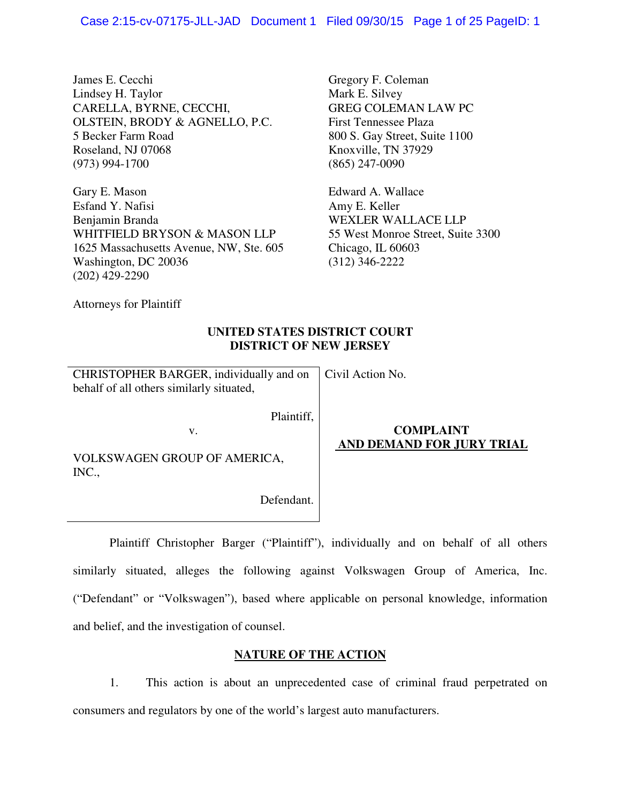James E. Cecchi Lindsey H. Taylor CARELLA, BYRNE, CECCHI, OLSTEIN, BRODY & AGNELLO, P.C. 5 Becker Farm Road Roseland, NJ 07068 (973) 994-1700

Gary E. Mason Esfand Y. Nafisi Benjamin Branda WHITFIELD BRYSON & MASON LLP 1625 Massachusetts Avenue, NW, Ste. 605 Washington, DC 20036 (202) 429-2290

Gregory F. Coleman Mark E. Silvey GREG COLEMAN LAW PC First Tennessee Plaza 800 S. Gay Street, Suite 1100 Knoxville, TN 37929 (865) 247-0090

Edward A. Wallace Amy E. Keller WEXLER WALLACE LLP 55 West Monroe Street, Suite 3300 Chicago, IL 60603 (312) 346-2222

Attorneys for Plaintiff

# **UNITED STATES DISTRICT COURT DISTRICT OF NEW JERSEY**

Civil Action No.

| CHRISTOPHER BARGER, individually and on  |  |
|------------------------------------------|--|
| behalf of all others similarly situated, |  |

v.

Plaintiff,

VOLKSWAGEN GROUP OF AMERICA, INC.,

Defendant.

# **COMPLAINT AND DEMAND FOR JURY TRIAL**

 Plaintiff Christopher Barger ("Plaintiff"), individually and on behalf of all others similarly situated, alleges the following against Volkswagen Group of America, Inc. ("Defendant" or "Volkswagen"), based where applicable on personal knowledge, information and belief, and the investigation of counsel.

# **NATURE OF THE ACTION**

1. This action is about an unprecedented case of criminal fraud perpetrated on consumers and regulators by one of the world's largest auto manufacturers.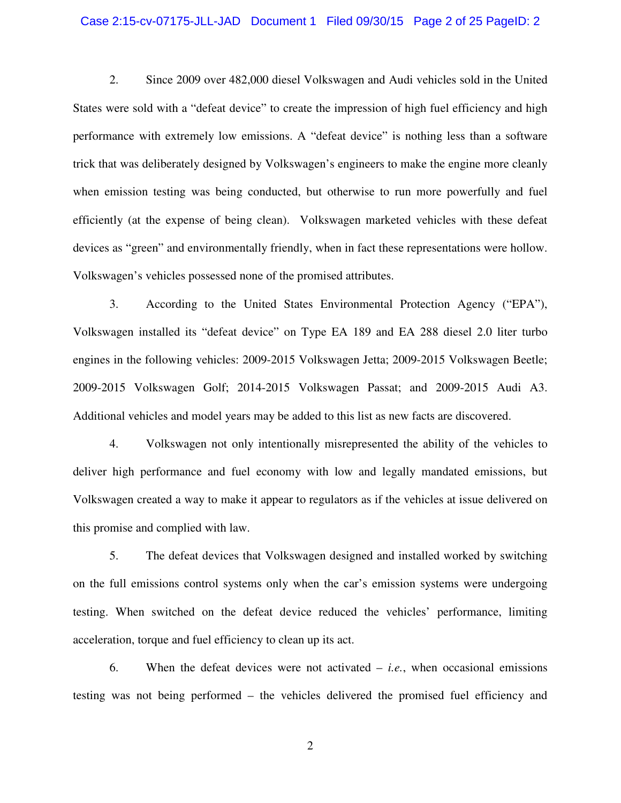#### Case 2:15-cv-07175-JLL-JAD Document 1 Filed 09/30/15 Page 2 of 25 PageID: 2

2. Since 2009 over 482,000 diesel Volkswagen and Audi vehicles sold in the United States were sold with a "defeat device" to create the impression of high fuel efficiency and high performance with extremely low emissions. A "defeat device" is nothing less than a software trick that was deliberately designed by Volkswagen's engineers to make the engine more cleanly when emission testing was being conducted, but otherwise to run more powerfully and fuel efficiently (at the expense of being clean). Volkswagen marketed vehicles with these defeat devices as "green" and environmentally friendly, when in fact these representations were hollow. Volkswagen's vehicles possessed none of the promised attributes.

3. According to the United States Environmental Protection Agency ("EPA"), Volkswagen installed its "defeat device" on Type EA 189 and EA 288 diesel 2.0 liter turbo engines in the following vehicles: 2009-2015 Volkswagen Jetta; 2009-2015 Volkswagen Beetle; 2009-2015 Volkswagen Golf; 2014-2015 Volkswagen Passat; and 2009-2015 Audi A3. Additional vehicles and model years may be added to this list as new facts are discovered.

4. Volkswagen not only intentionally misrepresented the ability of the vehicles to deliver high performance and fuel economy with low and legally mandated emissions, but Volkswagen created a way to make it appear to regulators as if the vehicles at issue delivered on this promise and complied with law.

5. The defeat devices that Volkswagen designed and installed worked by switching on the full emissions control systems only when the car's emission systems were undergoing testing. When switched on the defeat device reduced the vehicles' performance, limiting acceleration, torque and fuel efficiency to clean up its act.

6. When the defeat devices were not activated – *i.e.*, when occasional emissions testing was not being performed – the vehicles delivered the promised fuel efficiency and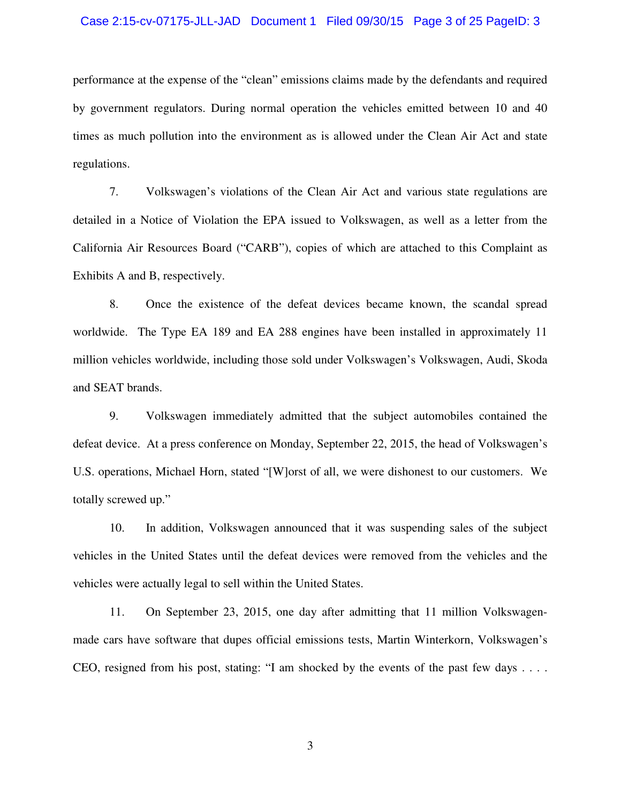#### Case 2:15-cv-07175-JLL-JAD Document 1 Filed 09/30/15 Page 3 of 25 PageID: 3

performance at the expense of the "clean" emissions claims made by the defendants and required by government regulators. During normal operation the vehicles emitted between 10 and 40 times as much pollution into the environment as is allowed under the Clean Air Act and state regulations.

7. Volkswagen's violations of the Clean Air Act and various state regulations are detailed in a Notice of Violation the EPA issued to Volkswagen, as well as a letter from the California Air Resources Board ("CARB"), copies of which are attached to this Complaint as Exhibits A and B, respectively.

8. Once the existence of the defeat devices became known, the scandal spread worldwide. The Type EA 189 and EA 288 engines have been installed in approximately 11 million vehicles worldwide, including those sold under Volkswagen's Volkswagen, Audi, Skoda and SEAT brands.

9. Volkswagen immediately admitted that the subject automobiles contained the defeat device. At a press conference on Monday, September 22, 2015, the head of Volkswagen's U.S. operations, Michael Horn, stated "[W]orst of all, we were dishonest to our customers. We totally screwed up."

10. In addition, Volkswagen announced that it was suspending sales of the subject vehicles in the United States until the defeat devices were removed from the vehicles and the vehicles were actually legal to sell within the United States.

11. On September 23, 2015, one day after admitting that 11 million Volkswagenmade cars have software that dupes official emissions tests, Martin Winterkorn, Volkswagen's CEO, resigned from his post, stating: "I am shocked by the events of the past few days . . . .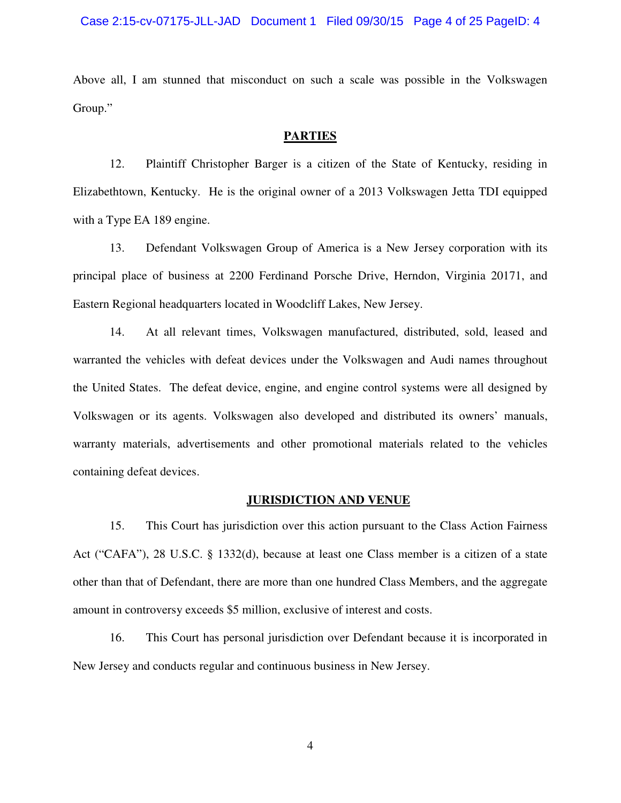Above all, I am stunned that misconduct on such a scale was possible in the Volkswagen Group."

### **PARTIES**

12. Plaintiff Christopher Barger is a citizen of the State of Kentucky, residing in Elizabethtown, Kentucky. He is the original owner of a 2013 Volkswagen Jetta TDI equipped with a Type EA 189 engine.

13. Defendant Volkswagen Group of America is a New Jersey corporation with its principal place of business at 2200 Ferdinand Porsche Drive, Herndon, Virginia 20171, and Eastern Regional headquarters located in Woodcliff Lakes, New Jersey.

14. At all relevant times, Volkswagen manufactured, distributed, sold, leased and warranted the vehicles with defeat devices under the Volkswagen and Audi names throughout the United States. The defeat device, engine, and engine control systems were all designed by Volkswagen or its agents. Volkswagen also developed and distributed its owners' manuals, warranty materials, advertisements and other promotional materials related to the vehicles containing defeat devices.

### **JURISDICTION AND VENUE**

15. This Court has jurisdiction over this action pursuant to the Class Action Fairness Act ("CAFA"), 28 U.S.C. § 1332(d), because at least one Class member is a citizen of a state other than that of Defendant, there are more than one hundred Class Members, and the aggregate amount in controversy exceeds \$5 million, exclusive of interest and costs.

16. This Court has personal jurisdiction over Defendant because it is incorporated in New Jersey and conducts regular and continuous business in New Jersey.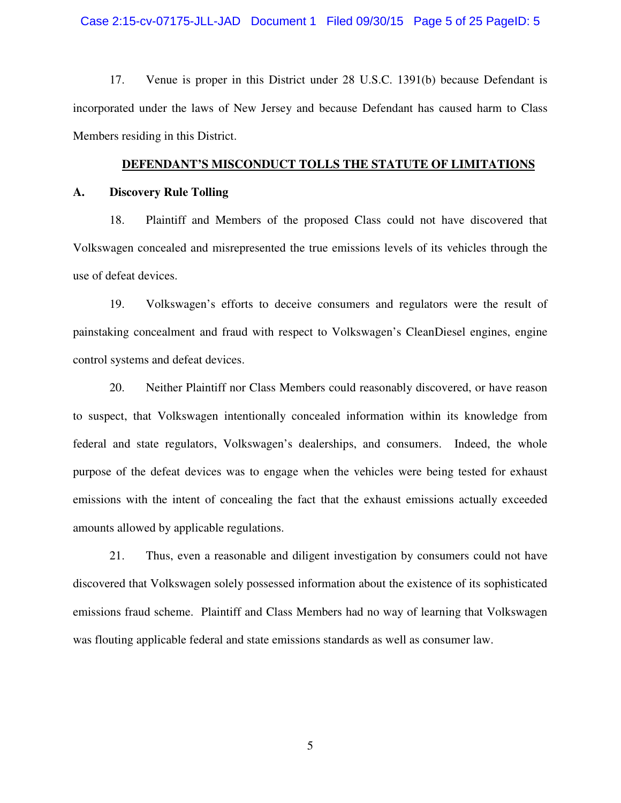#### Case 2:15-cv-07175-JLL-JAD Document 1 Filed 09/30/15 Page 5 of 25 PageID: 5

17. Venue is proper in this District under 28 U.S.C. 1391(b) because Defendant is incorporated under the laws of New Jersey and because Defendant has caused harm to Class Members residing in this District.

#### **DEFENDANT'S MISCONDUCT TOLLS THE STATUTE OF LIMITATIONS**

#### **A. Discovery Rule Tolling**

18. Plaintiff and Members of the proposed Class could not have discovered that Volkswagen concealed and misrepresented the true emissions levels of its vehicles through the use of defeat devices.

19. Volkswagen's efforts to deceive consumers and regulators were the result of painstaking concealment and fraud with respect to Volkswagen's CleanDiesel engines, engine control systems and defeat devices.

20. Neither Plaintiff nor Class Members could reasonably discovered, or have reason to suspect, that Volkswagen intentionally concealed information within its knowledge from federal and state regulators, Volkswagen's dealerships, and consumers. Indeed, the whole purpose of the defeat devices was to engage when the vehicles were being tested for exhaust emissions with the intent of concealing the fact that the exhaust emissions actually exceeded amounts allowed by applicable regulations.

21. Thus, even a reasonable and diligent investigation by consumers could not have discovered that Volkswagen solely possessed information about the existence of its sophisticated emissions fraud scheme. Plaintiff and Class Members had no way of learning that Volkswagen was flouting applicable federal and state emissions standards as well as consumer law.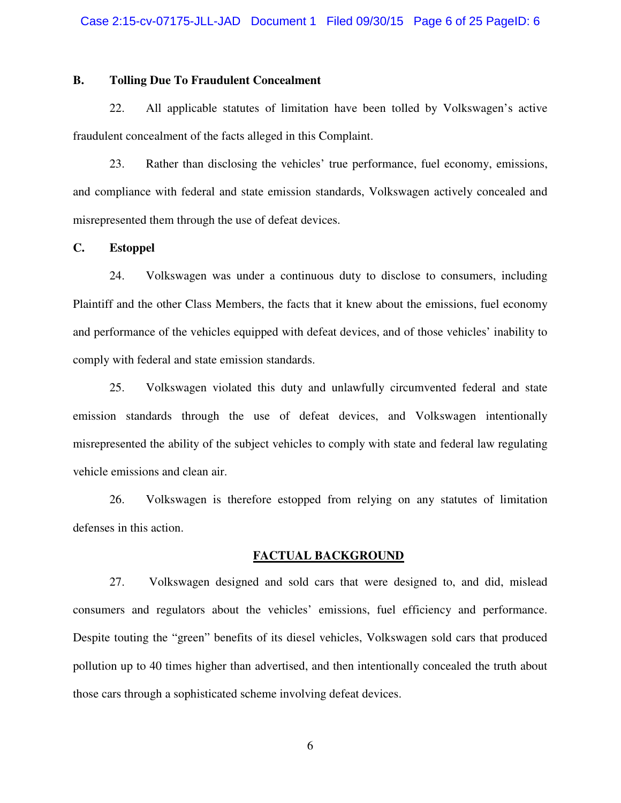### **B. Tolling Due To Fraudulent Concealment**

22. All applicable statutes of limitation have been tolled by Volkswagen's active fraudulent concealment of the facts alleged in this Complaint.

23. Rather than disclosing the vehicles' true performance, fuel economy, emissions, and compliance with federal and state emission standards, Volkswagen actively concealed and misrepresented them through the use of defeat devices.

#### **C. Estoppel**

24. Volkswagen was under a continuous duty to disclose to consumers, including Plaintiff and the other Class Members, the facts that it knew about the emissions, fuel economy and performance of the vehicles equipped with defeat devices, and of those vehicles' inability to comply with federal and state emission standards.

25. Volkswagen violated this duty and unlawfully circumvented federal and state emission standards through the use of defeat devices, and Volkswagen intentionally misrepresented the ability of the subject vehicles to comply with state and federal law regulating vehicle emissions and clean air.

26. Volkswagen is therefore estopped from relying on any statutes of limitation defenses in this action.

#### **FACTUAL BACKGROUND**

27. Volkswagen designed and sold cars that were designed to, and did, mislead consumers and regulators about the vehicles' emissions, fuel efficiency and performance. Despite touting the "green" benefits of its diesel vehicles, Volkswagen sold cars that produced pollution up to 40 times higher than advertised, and then intentionally concealed the truth about those cars through a sophisticated scheme involving defeat devices.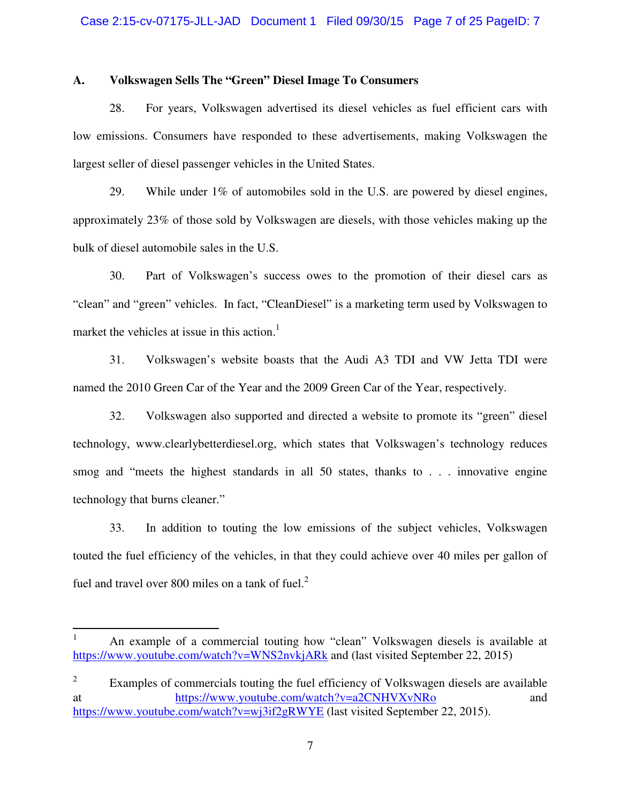#### **A. Volkswagen Sells The "Green" Diesel Image To Consumers**

28. For years, Volkswagen advertised its diesel vehicles as fuel efficient cars with low emissions. Consumers have responded to these advertisements, making Volkswagen the largest seller of diesel passenger vehicles in the United States.

29. While under 1% of automobiles sold in the U.S. are powered by diesel engines, approximately 23% of those sold by Volkswagen are diesels, with those vehicles making up the bulk of diesel automobile sales in the U.S.

30. Part of Volkswagen's success owes to the promotion of their diesel cars as "clean" and "green" vehicles. In fact, "CleanDiesel" is a marketing term used by Volkswagen to market the vehicles at issue in this action.<sup>1</sup>

31. Volkswagen's website boasts that the Audi A3 TDI and VW Jetta TDI were named the 2010 Green Car of the Year and the 2009 Green Car of the Year, respectively.

32. Volkswagen also supported and directed a website to promote its "green" diesel technology, www.clearlybetterdiesel.org, which states that Volkswagen's technology reduces smog and "meets the highest standards in all 50 states, thanks to . . . innovative engine technology that burns cleaner."

33. In addition to touting the low emissions of the subject vehicles, Volkswagen touted the fuel efficiency of the vehicles, in that they could achieve over 40 miles per gallon of fuel and travel over 800 miles on a tank of fuel. $<sup>2</sup>$ </sup>

<u>.</u>

<sup>1</sup> An example of a commercial touting how "clean" Volkswagen diesels is available at https://www.youtube.com/watch?v=WNS2nvkjARk and (last visited September 22, 2015)

<sup>2</sup> Examples of commercials touting the fuel efficiency of Volkswagen diesels are available at https://www.youtube.com/watch?v=a2CNHVXvNRo and https://www.youtube.com/watch?v=wj3if2gRWYE (last visited September 22, 2015).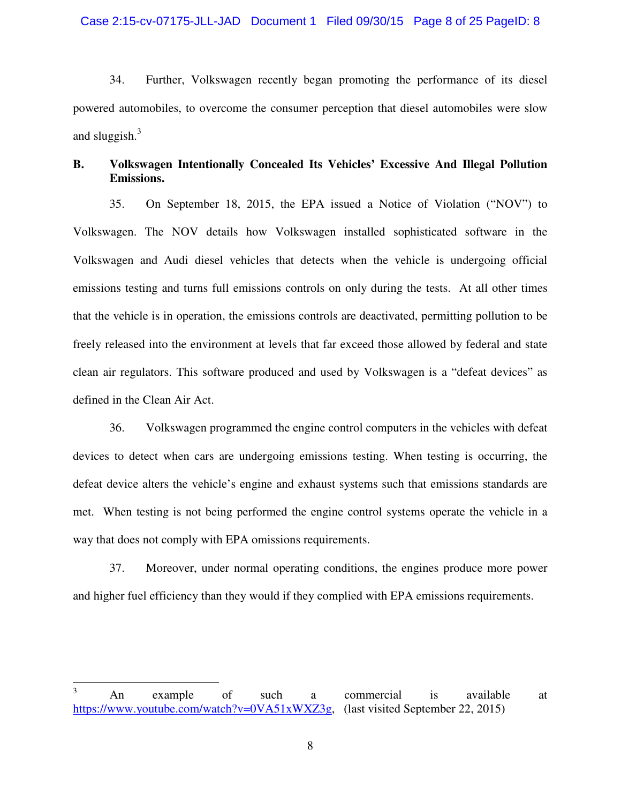34. Further, Volkswagen recently began promoting the performance of its diesel powered automobiles, to overcome the consumer perception that diesel automobiles were slow and sluggish. $3$ 

# **B. Volkswagen Intentionally Concealed Its Vehicles' Excessive And Illegal Pollution Emissions.**

35. On September 18, 2015, the EPA issued a Notice of Violation ("NOV") to Volkswagen. The NOV details how Volkswagen installed sophisticated software in the Volkswagen and Audi diesel vehicles that detects when the vehicle is undergoing official emissions testing and turns full emissions controls on only during the tests. At all other times that the vehicle is in operation, the emissions controls are deactivated, permitting pollution to be freely released into the environment at levels that far exceed those allowed by federal and state clean air regulators. This software produced and used by Volkswagen is a "defeat devices" as defined in the Clean Air Act.

36. Volkswagen programmed the engine control computers in the vehicles with defeat devices to detect when cars are undergoing emissions testing. When testing is occurring, the defeat device alters the vehicle's engine and exhaust systems such that emissions standards are met. When testing is not being performed the engine control systems operate the vehicle in a way that does not comply with EPA omissions requirements.

37. Moreover, under normal operating conditions, the engines produce more power and higher fuel efficiency than they would if they complied with EPA emissions requirements.

 $\frac{1}{3}$  An example of such a commercial is available at https://www.youtube.com/watch?v=0VA51xWXZ3g, (last visited September 22, 2015)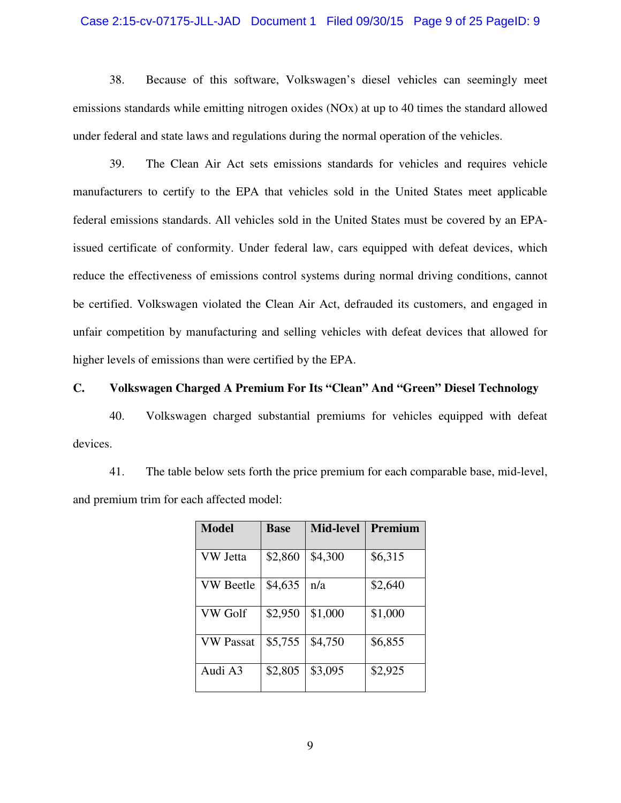#### Case 2:15-cv-07175-JLL-JAD Document 1 Filed 09/30/15 Page 9 of 25 PageID: 9

38. Because of this software, Volkswagen's diesel vehicles can seemingly meet emissions standards while emitting nitrogen oxides (NOx) at up to 40 times the standard allowed under federal and state laws and regulations during the normal operation of the vehicles.

39. The Clean Air Act sets emissions standards for vehicles and requires vehicle manufacturers to certify to the EPA that vehicles sold in the United States meet applicable federal emissions standards. All vehicles sold in the United States must be covered by an EPAissued certificate of conformity. Under federal law, cars equipped with defeat devices, which reduce the effectiveness of emissions control systems during normal driving conditions, cannot be certified. Volkswagen violated the Clean Air Act, defrauded its customers, and engaged in unfair competition by manufacturing and selling vehicles with defeat devices that allowed for higher levels of emissions than were certified by the EPA.

# **C. Volkswagen Charged A Premium For Its "Clean" And "Green" Diesel Technology**

40. Volkswagen charged substantial premiums for vehicles equipped with defeat devices.

41. The table below sets forth the price premium for each comparable base, mid-level, and premium trim for each affected model:

| <b>Model</b>     | <b>Base</b> | <b>Mid-level</b> | Premium |
|------------------|-------------|------------------|---------|
| <b>VW</b> Jetta  | \$2,860     | \$4,300          | \$6,315 |
| <b>VW</b> Beetle | \$4,635     | n/a              | \$2,640 |
| <b>VW Golf</b>   | \$2,950     | \$1,000          | \$1,000 |
| <b>VW Passat</b> | \$5,755     | \$4,750          | \$6,855 |
| Audi A3          | \$2,805     | \$3,095          | \$2,925 |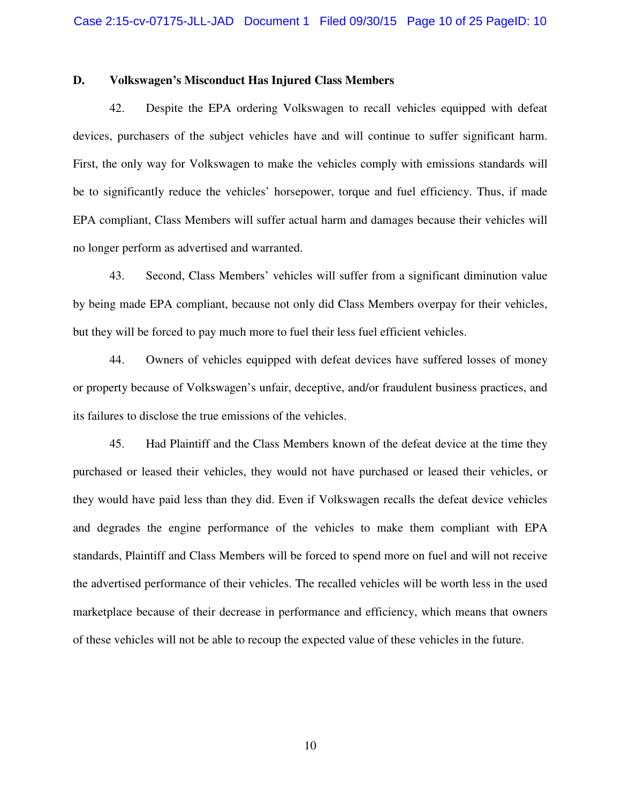#### **D. Volkswagen's Misconduct Has Injured Class Members**

42. Despite the EPA ordering Volkswagen to recall vehicles equipped with defeat devices, purchasers of the subject vehicles have and will continue to suffer significant harm. First, the only way for Volkswagen to make the vehicles comply with emissions standards will be to significantly reduce the vehicles' horsepower, torque and fuel efficiency. Thus, if made EPA compliant, Class Members will suffer actual harm and damages because their vehicles will no longer perform as advertised and warranted.

43. Second, Class Members' vehicles will suffer from a significant diminution value by being made EPA compliant, because not only did Class Members overpay for their vehicles, but they will be forced to pay much more to fuel their less fuel efficient vehicles.

44. Owners of vehicles equipped with defeat devices have suffered losses of money or property because of Volkswagen's unfair, deceptive, and/or fraudulent business practices, and its failures to disclose the true emissions of the vehicles.

45. Had Plaintiff and the Class Members known of the defeat device at the time they purchased or leased their vehicles, they would not have purchased or leased their vehicles, or they would have paid less than they did. Even if Volkswagen recalls the defeat device vehicles and degrades the engine performance of the vehicles to make them compliant with EPA standards, Plaintiff and Class Members will be forced to spend more on fuel and will not receive the advertised performance of their vehicles. The recalled vehicles will be worth less in the used marketplace because of their decrease in performance and efficiency, which means that owners of these vehicles will not be able to recoup the expected value of these vehicles in the future.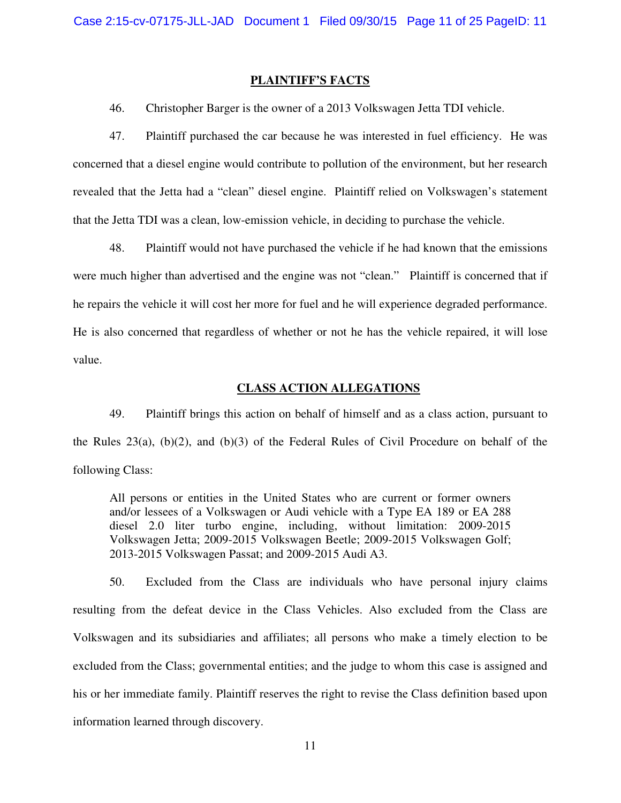#### **PLAINTIFF'S FACTS**

46. Christopher Barger is the owner of a 2013 Volkswagen Jetta TDI vehicle.

47. Plaintiff purchased the car because he was interested in fuel efficiency. He was concerned that a diesel engine would contribute to pollution of the environment, but her research revealed that the Jetta had a "clean" diesel engine. Plaintiff relied on Volkswagen's statement that the Jetta TDI was a clean, low-emission vehicle, in deciding to purchase the vehicle.

48. Plaintiff would not have purchased the vehicle if he had known that the emissions were much higher than advertised and the engine was not "clean." Plaintiff is concerned that if he repairs the vehicle it will cost her more for fuel and he will experience degraded performance. He is also concerned that regardless of whether or not he has the vehicle repaired, it will lose value.

#### **CLASS ACTION ALLEGATIONS**

49. Plaintiff brings this action on behalf of himself and as a class action, pursuant to the Rules 23(a), (b)(2), and (b)(3) of the Federal Rules of Civil Procedure on behalf of the following Class:

All persons or entities in the United States who are current or former owners and/or lessees of a Volkswagen or Audi vehicle with a Type EA 189 or EA 288 diesel 2.0 liter turbo engine, including, without limitation: 2009-2015 Volkswagen Jetta; 2009-2015 Volkswagen Beetle; 2009-2015 Volkswagen Golf; 2013-2015 Volkswagen Passat; and 2009-2015 Audi A3.

50. Excluded from the Class are individuals who have personal injury claims resulting from the defeat device in the Class Vehicles. Also excluded from the Class are Volkswagen and its subsidiaries and affiliates; all persons who make a timely election to be excluded from the Class; governmental entities; and the judge to whom this case is assigned and his or her immediate family. Plaintiff reserves the right to revise the Class definition based upon information learned through discovery.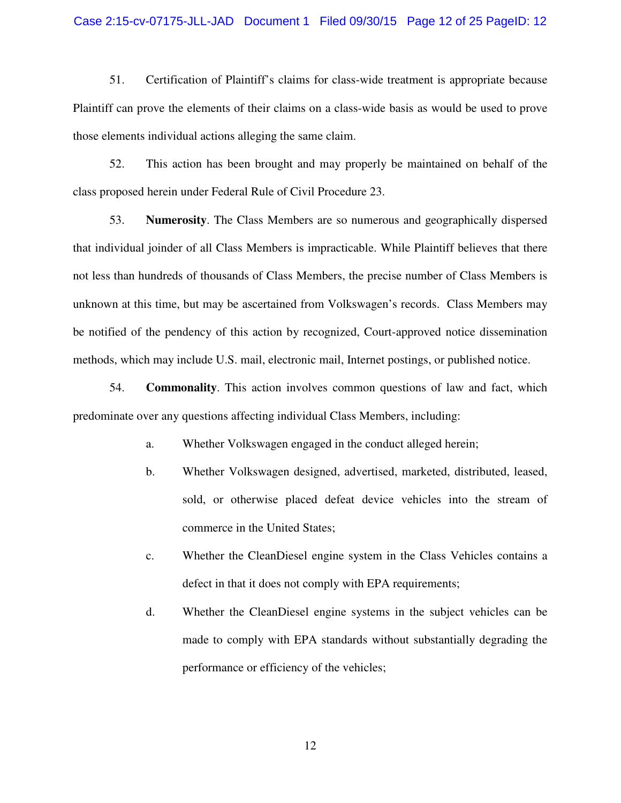#### Case 2:15-cv-07175-JLL-JAD Document 1 Filed 09/30/15 Page 12 of 25 PageID: 12

51. Certification of Plaintiff's claims for class-wide treatment is appropriate because Plaintiff can prove the elements of their claims on a class-wide basis as would be used to prove those elements individual actions alleging the same claim.

52. This action has been brought and may properly be maintained on behalf of the class proposed herein under Federal Rule of Civil Procedure 23.

53. **Numerosity**. The Class Members are so numerous and geographically dispersed that individual joinder of all Class Members is impracticable. While Plaintiff believes that there not less than hundreds of thousands of Class Members, the precise number of Class Members is unknown at this time, but may be ascertained from Volkswagen's records. Class Members may be notified of the pendency of this action by recognized, Court-approved notice dissemination methods, which may include U.S. mail, electronic mail, Internet postings, or published notice.

54. **Commonality**. This action involves common questions of law and fact, which predominate over any questions affecting individual Class Members, including:

- a. Whether Volkswagen engaged in the conduct alleged herein;
- b. Whether Volkswagen designed, advertised, marketed, distributed, leased, sold, or otherwise placed defeat device vehicles into the stream of commerce in the United States;
- c. Whether the CleanDiesel engine system in the Class Vehicles contains a defect in that it does not comply with EPA requirements;
- d. Whether the CleanDiesel engine systems in the subject vehicles can be made to comply with EPA standards without substantially degrading the performance or efficiency of the vehicles;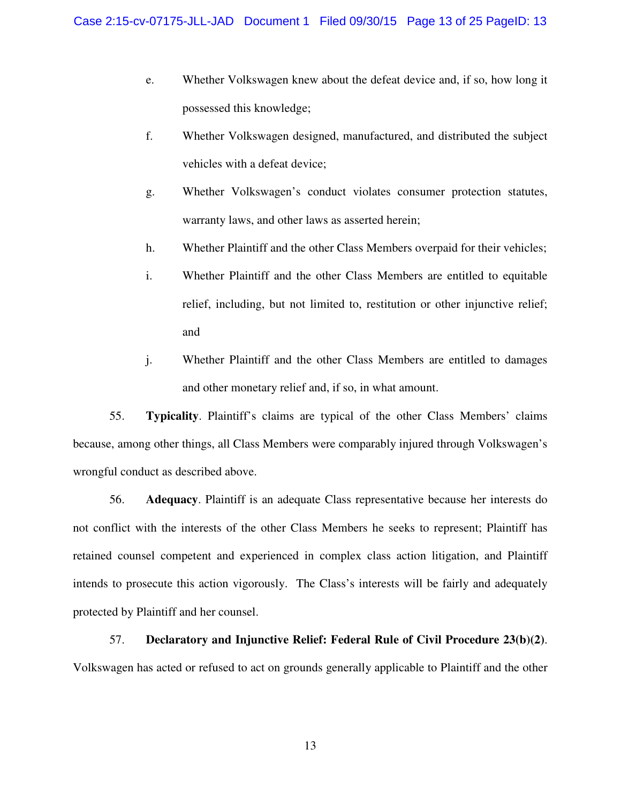- e. Whether Volkswagen knew about the defeat device and, if so, how long it possessed this knowledge;
- f. Whether Volkswagen designed, manufactured, and distributed the subject vehicles with a defeat device;
- g. Whether Volkswagen's conduct violates consumer protection statutes, warranty laws, and other laws as asserted herein;
- h. Whether Plaintiff and the other Class Members overpaid for their vehicles;
- i. Whether Plaintiff and the other Class Members are entitled to equitable relief, including, but not limited to, restitution or other injunctive relief; and
- j. Whether Plaintiff and the other Class Members are entitled to damages and other monetary relief and, if so, in what amount.

55. **Typicality**. Plaintiff's claims are typical of the other Class Members' claims because, among other things, all Class Members were comparably injured through Volkswagen's wrongful conduct as described above.

56. **Adequacy**. Plaintiff is an adequate Class representative because her interests do not conflict with the interests of the other Class Members he seeks to represent; Plaintiff has retained counsel competent and experienced in complex class action litigation, and Plaintiff intends to prosecute this action vigorously. The Class's interests will be fairly and adequately protected by Plaintiff and her counsel.

57. **Declaratory and Injunctive Relief: Federal Rule of Civil Procedure 23(b)(2)**. Volkswagen has acted or refused to act on grounds generally applicable to Plaintiff and the other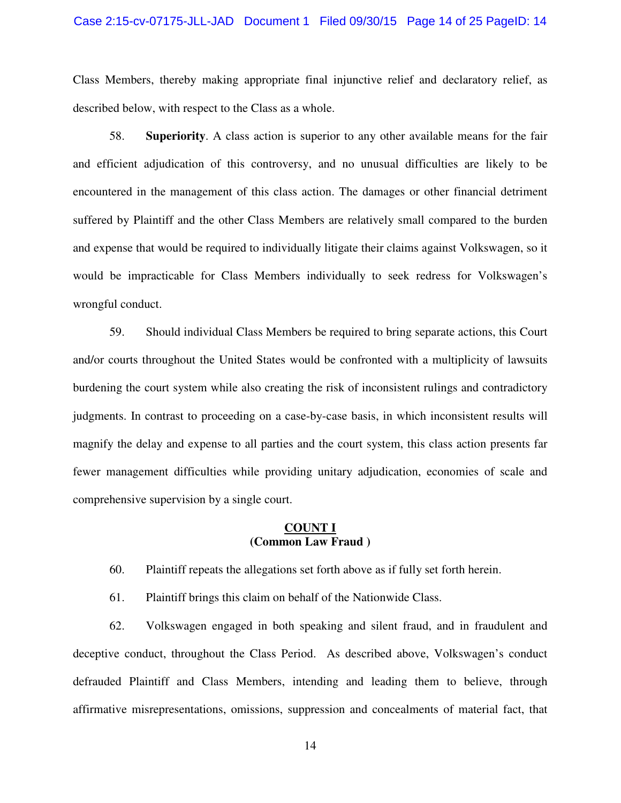#### Case 2:15-cv-07175-JLL-JAD Document 1 Filed 09/30/15 Page 14 of 25 PageID: 14

Class Members, thereby making appropriate final injunctive relief and declaratory relief, as described below, with respect to the Class as a whole.

58. **Superiority**. A class action is superior to any other available means for the fair and efficient adjudication of this controversy, and no unusual difficulties are likely to be encountered in the management of this class action. The damages or other financial detriment suffered by Plaintiff and the other Class Members are relatively small compared to the burden and expense that would be required to individually litigate their claims against Volkswagen, so it would be impracticable for Class Members individually to seek redress for Volkswagen's wrongful conduct.

59. Should individual Class Members be required to bring separate actions, this Court and/or courts throughout the United States would be confronted with a multiplicity of lawsuits burdening the court system while also creating the risk of inconsistent rulings and contradictory judgments. In contrast to proceeding on a case-by-case basis, in which inconsistent results will magnify the delay and expense to all parties and the court system, this class action presents far fewer management difficulties while providing unitary adjudication, economies of scale and comprehensive supervision by a single court.

### **COUNT I (Common Law Fraud )**

60. Plaintiff repeats the allegations set forth above as if fully set forth herein.

61. Plaintiff brings this claim on behalf of the Nationwide Class.

62. Volkswagen engaged in both speaking and silent fraud, and in fraudulent and deceptive conduct, throughout the Class Period. As described above, Volkswagen's conduct defrauded Plaintiff and Class Members, intending and leading them to believe, through affirmative misrepresentations, omissions, suppression and concealments of material fact, that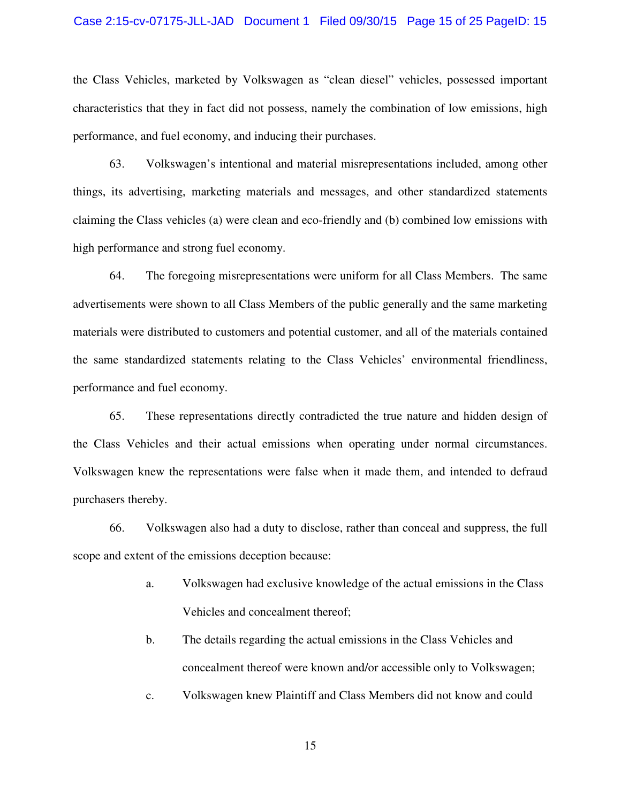#### Case 2:15-cv-07175-JLL-JAD Document 1 Filed 09/30/15 Page 15 of 25 PageID: 15

the Class Vehicles, marketed by Volkswagen as "clean diesel" vehicles, possessed important characteristics that they in fact did not possess, namely the combination of low emissions, high performance, and fuel economy, and inducing their purchases.

63. Volkswagen's intentional and material misrepresentations included, among other things, its advertising, marketing materials and messages, and other standardized statements claiming the Class vehicles (a) were clean and eco-friendly and (b) combined low emissions with high performance and strong fuel economy.

64. The foregoing misrepresentations were uniform for all Class Members. The same advertisements were shown to all Class Members of the public generally and the same marketing materials were distributed to customers and potential customer, and all of the materials contained the same standardized statements relating to the Class Vehicles' environmental friendliness, performance and fuel economy.

65. These representations directly contradicted the true nature and hidden design of the Class Vehicles and their actual emissions when operating under normal circumstances. Volkswagen knew the representations were false when it made them, and intended to defraud purchasers thereby.

66. Volkswagen also had a duty to disclose, rather than conceal and suppress, the full scope and extent of the emissions deception because:

- a. Volkswagen had exclusive knowledge of the actual emissions in the Class Vehicles and concealment thereof;
- b. The details regarding the actual emissions in the Class Vehicles and concealment thereof were known and/or accessible only to Volkswagen;
- c. Volkswagen knew Plaintiff and Class Members did not know and could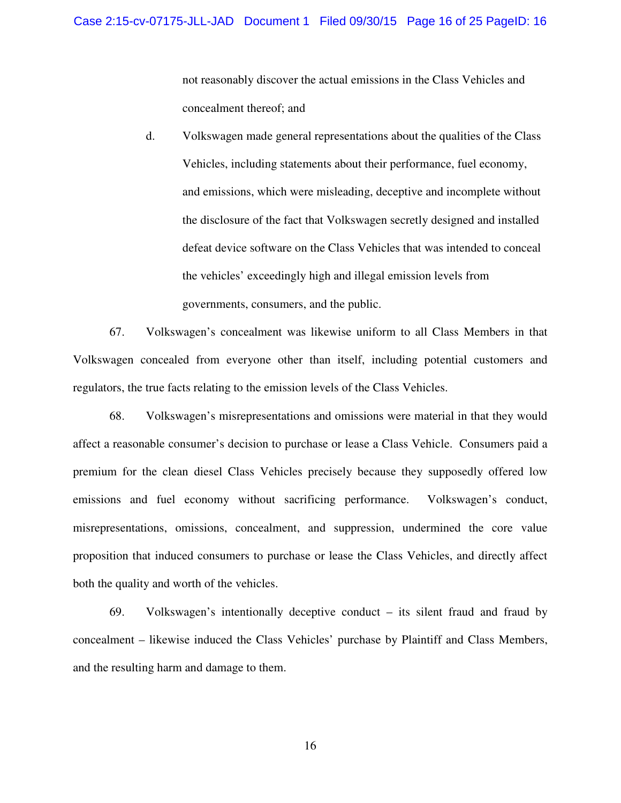not reasonably discover the actual emissions in the Class Vehicles and concealment thereof; and

d. Volkswagen made general representations about the qualities of the Class Vehicles, including statements about their performance, fuel economy, and emissions, which were misleading, deceptive and incomplete without the disclosure of the fact that Volkswagen secretly designed and installed defeat device software on the Class Vehicles that was intended to conceal the vehicles' exceedingly high and illegal emission levels from governments, consumers, and the public.

67. Volkswagen's concealment was likewise uniform to all Class Members in that Volkswagen concealed from everyone other than itself, including potential customers and regulators, the true facts relating to the emission levels of the Class Vehicles.

68. Volkswagen's misrepresentations and omissions were material in that they would affect a reasonable consumer's decision to purchase or lease a Class Vehicle. Consumers paid a premium for the clean diesel Class Vehicles precisely because they supposedly offered low emissions and fuel economy without sacrificing performance. Volkswagen's conduct, misrepresentations, omissions, concealment, and suppression, undermined the core value proposition that induced consumers to purchase or lease the Class Vehicles, and directly affect both the quality and worth of the vehicles.

69. Volkswagen's intentionally deceptive conduct – its silent fraud and fraud by concealment – likewise induced the Class Vehicles' purchase by Plaintiff and Class Members, and the resulting harm and damage to them.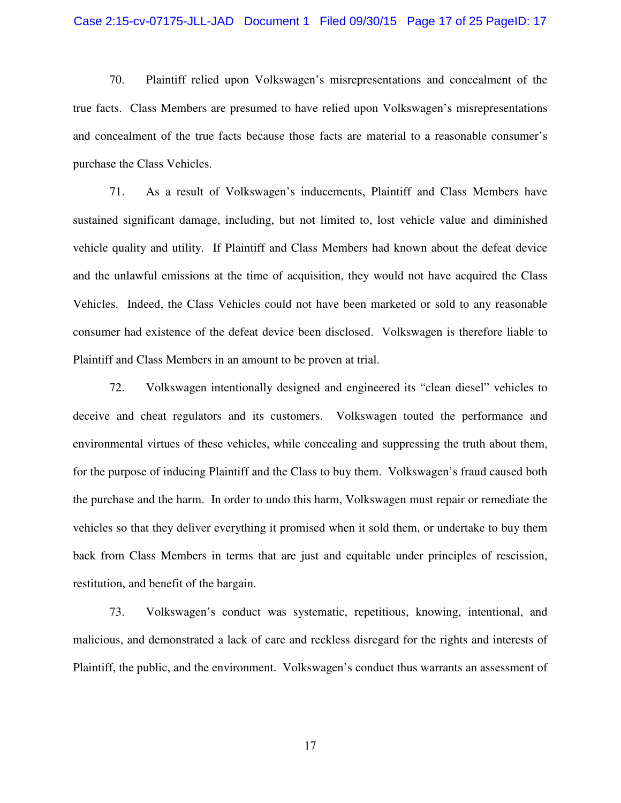#### Case 2:15-cv-07175-JLL-JAD Document 1 Filed 09/30/15 Page 17 of 25 PageID: 17

70. Plaintiff relied upon Volkswagen's misrepresentations and concealment of the true facts. Class Members are presumed to have relied upon Volkswagen's misrepresentations and concealment of the true facts because those facts are material to a reasonable consumer's purchase the Class Vehicles.

71. As a result of Volkswagen's inducements, Plaintiff and Class Members have sustained significant damage, including, but not limited to, lost vehicle value and diminished vehicle quality and utility. If Plaintiff and Class Members had known about the defeat device and the unlawful emissions at the time of acquisition, they would not have acquired the Class Vehicles. Indeed, the Class Vehicles could not have been marketed or sold to any reasonable consumer had existence of the defeat device been disclosed. Volkswagen is therefore liable to Plaintiff and Class Members in an amount to be proven at trial.

72. Volkswagen intentionally designed and engineered its "clean diesel" vehicles to deceive and cheat regulators and its customers. Volkswagen touted the performance and environmental virtues of these vehicles, while concealing and suppressing the truth about them, for the purpose of inducing Plaintiff and the Class to buy them. Volkswagen's fraud caused both the purchase and the harm. In order to undo this harm, Volkswagen must repair or remediate the vehicles so that they deliver everything it promised when it sold them, or undertake to buy them back from Class Members in terms that are just and equitable under principles of rescission, restitution, and benefit of the bargain.

73. Volkswagen's conduct was systematic, repetitious, knowing, intentional, and malicious, and demonstrated a lack of care and reckless disregard for the rights and interests of Plaintiff, the public, and the environment. Volkswagen's conduct thus warrants an assessment of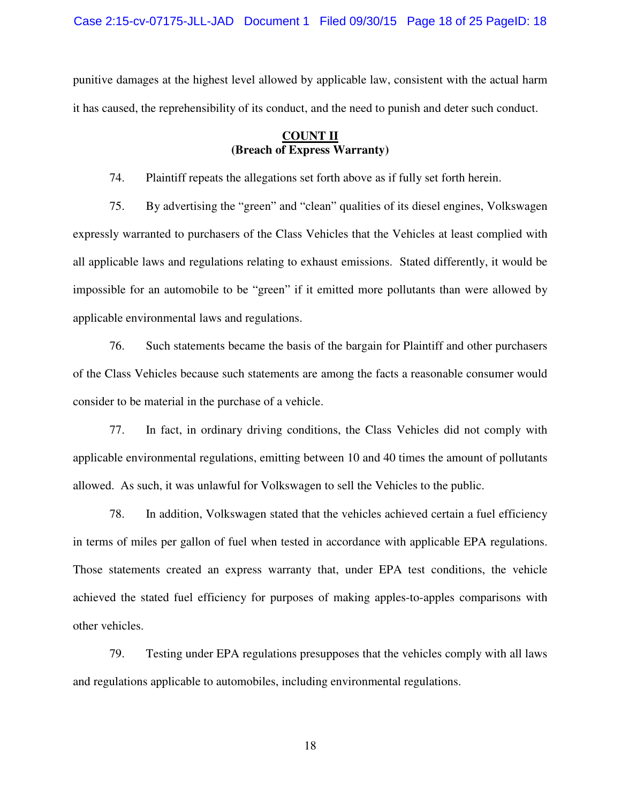Case 2:15-cv-07175-JLL-JAD Document 1 Filed 09/30/15 Page 18 of 25 PageID: 18

punitive damages at the highest level allowed by applicable law, consistent with the actual harm it has caused, the reprehensibility of its conduct, and the need to punish and deter such conduct.

## **COUNT II (Breach of Express Warranty)**

74. Plaintiff repeats the allegations set forth above as if fully set forth herein.

75. By advertising the "green" and "clean" qualities of its diesel engines, Volkswagen expressly warranted to purchasers of the Class Vehicles that the Vehicles at least complied with all applicable laws and regulations relating to exhaust emissions. Stated differently, it would be impossible for an automobile to be "green" if it emitted more pollutants than were allowed by applicable environmental laws and regulations.

76. Such statements became the basis of the bargain for Plaintiff and other purchasers of the Class Vehicles because such statements are among the facts a reasonable consumer would consider to be material in the purchase of a vehicle.

77. In fact, in ordinary driving conditions, the Class Vehicles did not comply with applicable environmental regulations, emitting between 10 and 40 times the amount of pollutants allowed. As such, it was unlawful for Volkswagen to sell the Vehicles to the public.

78. In addition, Volkswagen stated that the vehicles achieved certain a fuel efficiency in terms of miles per gallon of fuel when tested in accordance with applicable EPA regulations. Those statements created an express warranty that, under EPA test conditions, the vehicle achieved the stated fuel efficiency for purposes of making apples-to-apples comparisons with other vehicles.

79. Testing under EPA regulations presupposes that the vehicles comply with all laws and regulations applicable to automobiles, including environmental regulations.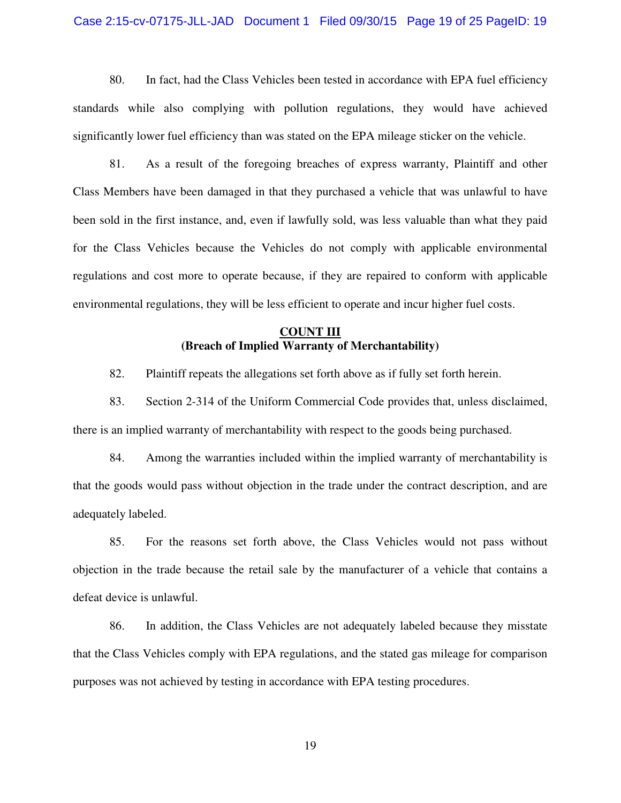#### Case 2:15-cv-07175-JLL-JAD Document 1 Filed 09/30/15 Page 19 of 25 PageID: 19

80. In fact, had the Class Vehicles been tested in accordance with EPA fuel efficiency standards while also complying with pollution regulations, they would have achieved significantly lower fuel efficiency than was stated on the EPA mileage sticker on the vehicle.

81. As a result of the foregoing breaches of express warranty, Plaintiff and other Class Members have been damaged in that they purchased a vehicle that was unlawful to have been sold in the first instance, and, even if lawfully sold, was less valuable than what they paid for the Class Vehicles because the Vehicles do not comply with applicable environmental regulations and cost more to operate because, if they are repaired to conform with applicable environmental regulations, they will be less efficient to operate and incur higher fuel costs.

## **COUNT III (Breach of Implied Warranty of Merchantability)**

82. Plaintiff repeats the allegations set forth above as if fully set forth herein.

83. Section 2-314 of the Uniform Commercial Code provides that, unless disclaimed, there is an implied warranty of merchantability with respect to the goods being purchased.

84. Among the warranties included within the implied warranty of merchantability is that the goods would pass without objection in the trade under the contract description, and are adequately labeled.

85. For the reasons set forth above, the Class Vehicles would not pass without objection in the trade because the retail sale by the manufacturer of a vehicle that contains a defeat device is unlawful.

86. In addition, the Class Vehicles are not adequately labeled because they misstate that the Class Vehicles comply with EPA regulations, and the stated gas mileage for comparison purposes was not achieved by testing in accordance with EPA testing procedures.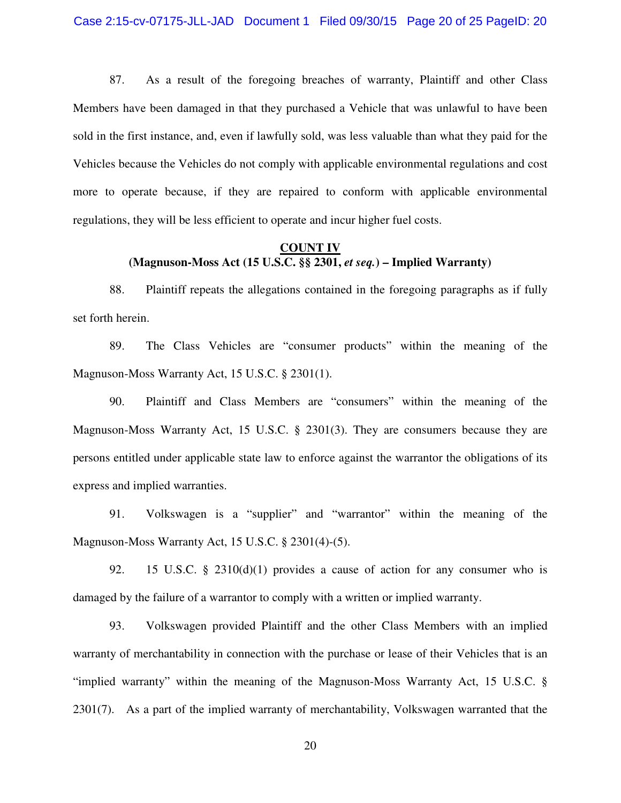87. As a result of the foregoing breaches of warranty, Plaintiff and other Class Members have been damaged in that they purchased a Vehicle that was unlawful to have been sold in the first instance, and, even if lawfully sold, was less valuable than what they paid for the Vehicles because the Vehicles do not comply with applicable environmental regulations and cost more to operate because, if they are repaired to conform with applicable environmental regulations, they will be less efficient to operate and incur higher fuel costs.

### **COUNT IV (Magnuson-Moss Act (15 U.S.C. §§ 2301,** *et seq.***) – Implied Warranty)**

88. Plaintiff repeats the allegations contained in the foregoing paragraphs as if fully set forth herein.

89. The Class Vehicles are "consumer products" within the meaning of the Magnuson-Moss Warranty Act, 15 U.S.C. § 2301(1).

90. Plaintiff and Class Members are "consumers" within the meaning of the Magnuson-Moss Warranty Act, 15 U.S.C. § 2301(3). They are consumers because they are persons entitled under applicable state law to enforce against the warrantor the obligations of its express and implied warranties.

91. Volkswagen is a "supplier" and "warrantor" within the meaning of the Magnuson-Moss Warranty Act, 15 U.S.C. § 2301(4)-(5).

92. 15 U.S.C. § 2310(d)(1) provides a cause of action for any consumer who is damaged by the failure of a warrantor to comply with a written or implied warranty.

93. Volkswagen provided Plaintiff and the other Class Members with an implied warranty of merchantability in connection with the purchase or lease of their Vehicles that is an "implied warranty" within the meaning of the Magnuson-Moss Warranty Act, 15 U.S.C. § 2301(7). As a part of the implied warranty of merchantability, Volkswagen warranted that the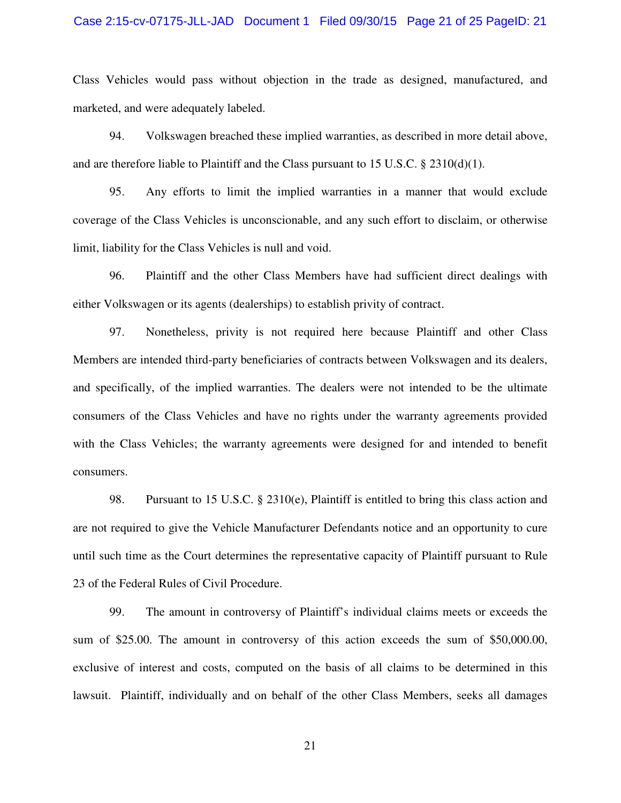#### Case 2:15-cv-07175-JLL-JAD Document 1 Filed 09/30/15 Page 21 of 25 PageID: 21

Class Vehicles would pass without objection in the trade as designed, manufactured, and marketed, and were adequately labeled.

94. Volkswagen breached these implied warranties, as described in more detail above, and are therefore liable to Plaintiff and the Class pursuant to 15 U.S.C. § 2310(d)(1).

95. Any efforts to limit the implied warranties in a manner that would exclude coverage of the Class Vehicles is unconscionable, and any such effort to disclaim, or otherwise limit, liability for the Class Vehicles is null and void.

96. Plaintiff and the other Class Members have had sufficient direct dealings with either Volkswagen or its agents (dealerships) to establish privity of contract.

97. Nonetheless, privity is not required here because Plaintiff and other Class Members are intended third-party beneficiaries of contracts between Volkswagen and its dealers, and specifically, of the implied warranties. The dealers were not intended to be the ultimate consumers of the Class Vehicles and have no rights under the warranty agreements provided with the Class Vehicles; the warranty agreements were designed for and intended to benefit consumers.

98. Pursuant to 15 U.S.C. § 2310(e), Plaintiff is entitled to bring this class action and are not required to give the Vehicle Manufacturer Defendants notice and an opportunity to cure until such time as the Court determines the representative capacity of Plaintiff pursuant to Rule 23 of the Federal Rules of Civil Procedure.

99. The amount in controversy of Plaintiff's individual claims meets or exceeds the sum of \$25.00. The amount in controversy of this action exceeds the sum of \$50,000.00, exclusive of interest and costs, computed on the basis of all claims to be determined in this lawsuit. Plaintiff, individually and on behalf of the other Class Members, seeks all damages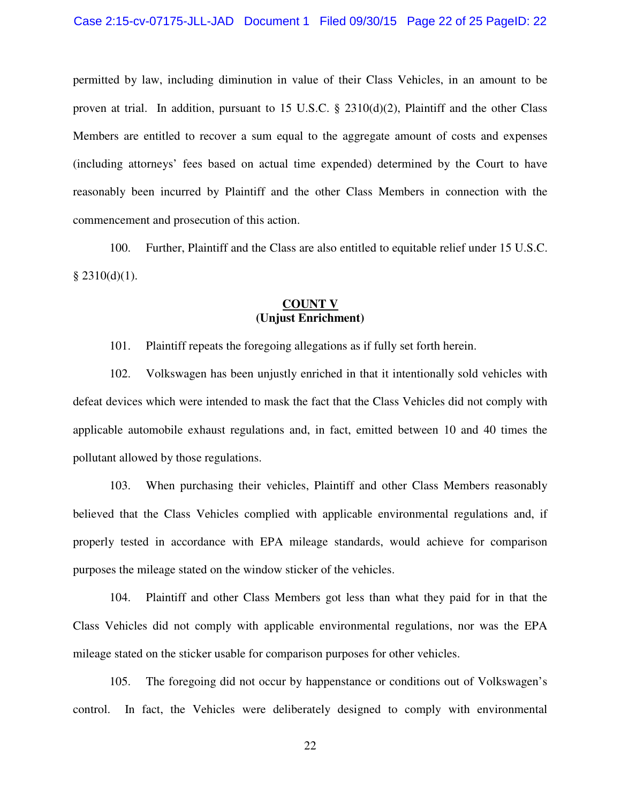permitted by law, including diminution in value of their Class Vehicles, in an amount to be proven at trial. In addition, pursuant to 15 U.S.C. § 2310(d)(2), Plaintiff and the other Class Members are entitled to recover a sum equal to the aggregate amount of costs and expenses (including attorneys' fees based on actual time expended) determined by the Court to have reasonably been incurred by Plaintiff and the other Class Members in connection with the commencement and prosecution of this action.

100. Further, Plaintiff and the Class are also entitled to equitable relief under 15 U.S.C.  $§$  2310(d)(1).

#### **COUNT V (Unjust Enrichment)**

101. Plaintiff repeats the foregoing allegations as if fully set forth herein.

102. Volkswagen has been unjustly enriched in that it intentionally sold vehicles with defeat devices which were intended to mask the fact that the Class Vehicles did not comply with applicable automobile exhaust regulations and, in fact, emitted between 10 and 40 times the pollutant allowed by those regulations.

103. When purchasing their vehicles, Plaintiff and other Class Members reasonably believed that the Class Vehicles complied with applicable environmental regulations and, if properly tested in accordance with EPA mileage standards, would achieve for comparison purposes the mileage stated on the window sticker of the vehicles.

104. Plaintiff and other Class Members got less than what they paid for in that the Class Vehicles did not comply with applicable environmental regulations, nor was the EPA mileage stated on the sticker usable for comparison purposes for other vehicles.

105. The foregoing did not occur by happenstance or conditions out of Volkswagen's control. In fact, the Vehicles were deliberately designed to comply with environmental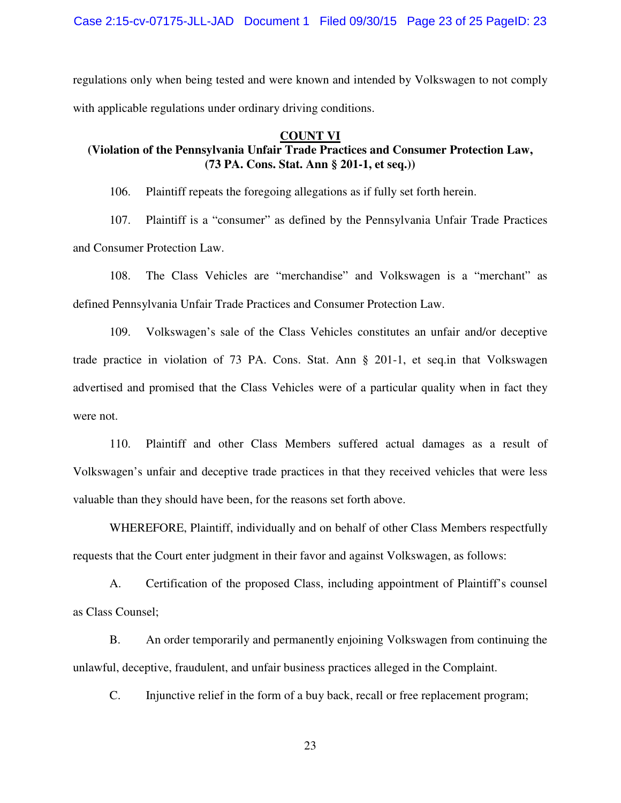Case 2:15-cv-07175-JLL-JAD Document 1 Filed 09/30/15 Page 23 of 25 PageID: 23

regulations only when being tested and were known and intended by Volkswagen to not comply with applicable regulations under ordinary driving conditions.

#### **COUNT VI**

# **(Violation of the Pennsylvania Unfair Trade Practices and Consumer Protection Law, (73 PA. Cons. Stat. Ann § 201-1, et seq.))**

106. Plaintiff repeats the foregoing allegations as if fully set forth herein.

107. Plaintiff is a "consumer" as defined by the Pennsylvania Unfair Trade Practices and Consumer Protection Law.

108. The Class Vehicles are "merchandise" and Volkswagen is a "merchant" as defined Pennsylvania Unfair Trade Practices and Consumer Protection Law.

109. Volkswagen's sale of the Class Vehicles constitutes an unfair and/or deceptive trade practice in violation of 73 PA. Cons. Stat. Ann § 201-1, et seq.in that Volkswagen advertised and promised that the Class Vehicles were of a particular quality when in fact they were not.

110. Plaintiff and other Class Members suffered actual damages as a result of Volkswagen's unfair and deceptive trade practices in that they received vehicles that were less valuable than they should have been, for the reasons set forth above.

WHEREFORE, Plaintiff, individually and on behalf of other Class Members respectfully requests that the Court enter judgment in their favor and against Volkswagen, as follows:

A. Certification of the proposed Class, including appointment of Plaintiff's counsel as Class Counsel;

B. An order temporarily and permanently enjoining Volkswagen from continuing the unlawful, deceptive, fraudulent, and unfair business practices alleged in the Complaint.

C. Injunctive relief in the form of a buy back, recall or free replacement program;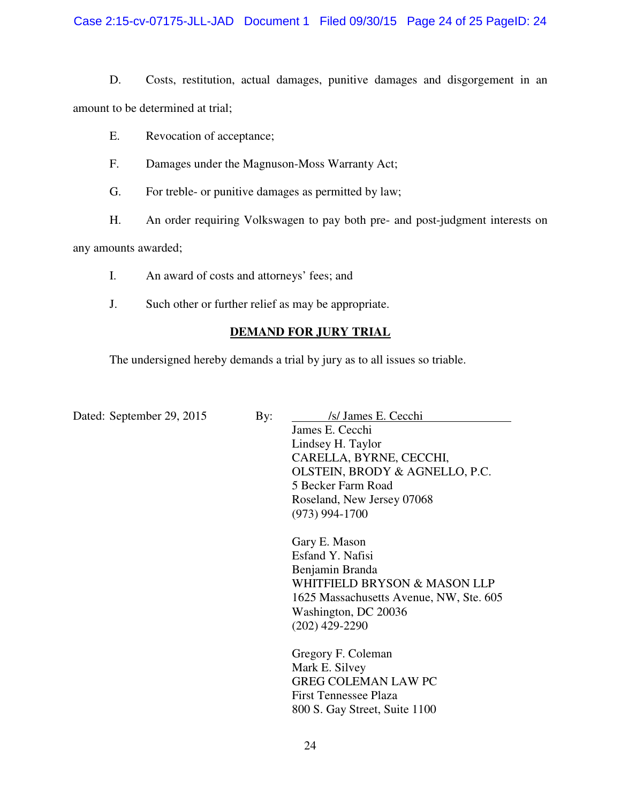Case 2:15-cv-07175-JLL-JAD Document 1 Filed 09/30/15 Page 24 of 25 PageID: 24

D. Costs, restitution, actual damages, punitive damages and disgorgement in an amount to be determined at trial;

- E. Revocation of acceptance;
- F. Damages under the Magnuson-Moss Warranty Act;
- G. For treble- or punitive damages as permitted by law;
- H. An order requiring Volkswagen to pay both pre- and post-judgment interests on

any amounts awarded;

- I. An award of costs and attorneys' fees; and
- J. Such other or further relief as may be appropriate.

## **DEMAND FOR JURY TRIAL**

The undersigned hereby demands a trial by jury as to all issues so triable.

| Dated: September 29, 2015 | By: | /s/ James E. Cecchi                     |  |
|---------------------------|-----|-----------------------------------------|--|
|                           |     | James E. Cecchi                         |  |
|                           |     | Lindsey H. Taylor                       |  |
|                           |     | CARELLA, BYRNE, CECCHI,                 |  |
|                           |     | OLSTEIN, BRODY & AGNELLO, P.C.          |  |
|                           |     | 5 Becker Farm Road                      |  |
|                           |     | Roseland, New Jersey 07068              |  |
|                           |     | $(973)$ 994-1700                        |  |
|                           |     | Gary E. Mason                           |  |
|                           |     | Esfand Y. Nafisi                        |  |
|                           |     | Benjamin Branda                         |  |
|                           |     | WHITFIELD BRYSON & MASON LLP            |  |
|                           |     | 1625 Massachusetts Avenue, NW, Ste. 605 |  |
|                           |     | Washington, DC 20036                    |  |
|                           |     | $(202)$ 429-2290                        |  |
|                           |     | Gregory F. Coleman                      |  |
|                           |     | Mark E. Silvey                          |  |
|                           |     | <b>GREG COLEMAN LAW PC</b>              |  |
|                           |     | First Tennessee Plaza                   |  |

24

800 S. Gay Street, Suite 1100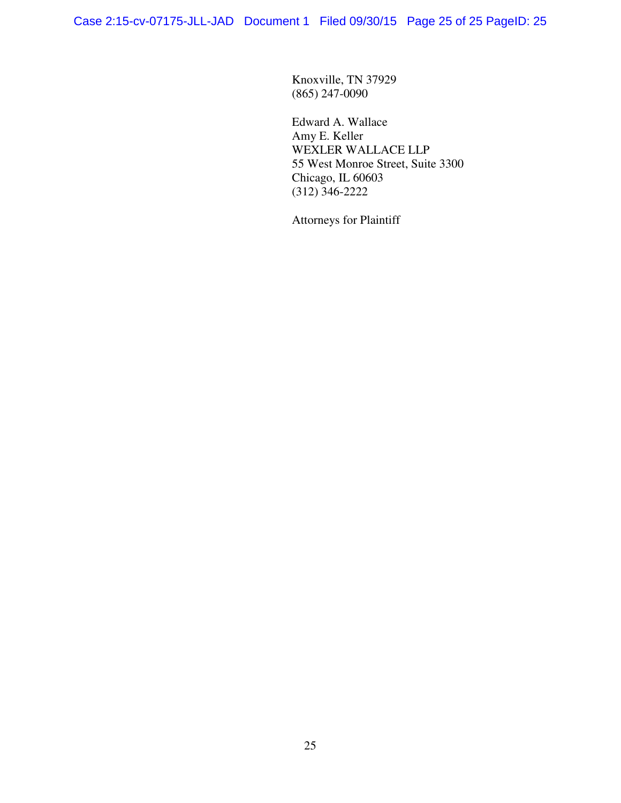Knoxville, TN 37929 (865) 247-0090

Edward A. Wallace Amy E. Keller WEXLER WALLACE LLP 55 West Monroe Street, Suite 3300 Chicago, IL 60603 (312) 346-2222

Attorneys for Plaintiff